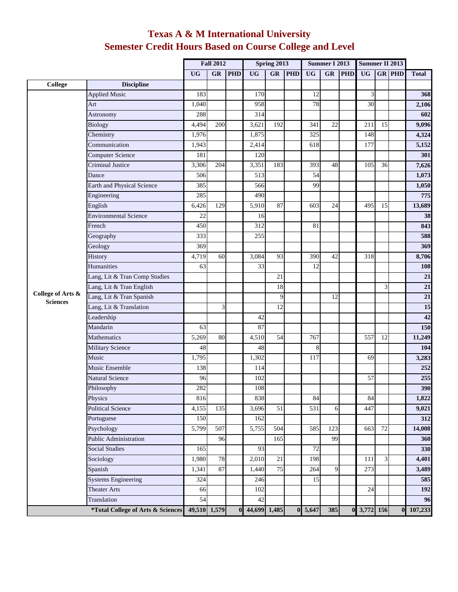|                                      |                                                           | <b>Fall 2012</b> |                |            | Spring 2013    |                 |            | <b>Summer I 2013</b> |                |            | Summer II 2013 |                |               |              |
|--------------------------------------|-----------------------------------------------------------|------------------|----------------|------------|----------------|-----------------|------------|----------------------|----------------|------------|----------------|----------------|---------------|--------------|
|                                      |                                                           | <b>UG</b>        | GR             | <b>PHD</b> | <b>UG</b>      | <b>GR</b>       | <b>PHD</b> | <b>UG</b>            | <b>GR</b>      | <b>PHD</b> | <b>UG</b>      |                | <b>GR PHD</b> | <b>Total</b> |
| <b>College</b>                       | <b>Discipline</b>                                         |                  |                |            |                |                 |            |                      |                |            |                |                |               |              |
|                                      | <b>Applied Music</b>                                      | 183              |                |            | 170            |                 |            | 12                   |                |            | 3              |                |               | 368          |
|                                      | Art                                                       | 1,040            |                |            | 958            |                 |            | 78                   |                |            | 30             |                |               | 2,106        |
|                                      | Astronomy                                                 | 288              |                |            | 314            |                 |            |                      |                |            |                |                |               | 602          |
|                                      | <b>Biology</b>                                            | 4,494            | 200            |            | 3,621          | 192             |            | 341                  | 22             |            | 211            | 15             |               | 9,096        |
|                                      | Chemistry                                                 | 1,976            |                |            | 1,875          |                 |            | 325                  |                |            | 148            |                |               | 4,324        |
|                                      | Communication                                             | 1,943            |                |            | 2,414          |                 |            | 618                  |                |            | 177            |                |               | 5,152        |
|                                      | Computer Science                                          | 181              |                |            | 120            |                 |            |                      |                |            |                |                |               | 301          |
|                                      | <b>Criminal Justice</b>                                   | 3,306            | 204            |            | 3,351          | 183             |            | 393                  | 48             |            | 105            | 36             |               | 7,626        |
|                                      | Dance                                                     | 506              |                |            | 513            |                 |            | 54                   |                |            |                |                |               | 1,073        |
|                                      | Earth and Physical Science                                | 385              |                |            | 566            |                 |            | 99                   |                |            |                |                |               | 1,050        |
|                                      | Engineering                                               | 285              |                |            | 490            |                 |            |                      |                |            |                |                |               | 775          |
|                                      | English                                                   | 6,426            | 129            |            | 5,910          | 87              |            | 603                  | 24             |            | 495            | 15             |               | 13,689       |
|                                      | <b>Environmental Science</b>                              | 22               |                |            | 16             |                 |            |                      |                |            |                |                |               | 38           |
|                                      | French                                                    | 450              |                |            | 312            |                 |            | 81                   |                |            |                |                |               | 843          |
|                                      | Geography                                                 | 333              |                |            | 255            |                 |            |                      |                |            |                |                |               | 588          |
|                                      | Geology                                                   | 369              |                |            |                |                 |            |                      |                |            |                |                |               | 369          |
|                                      | History                                                   | 4,719            | 60             |            | 3,084          | 93              |            | 390                  | 42             |            | 318            |                |               | 8,706        |
|                                      | Humanities                                                | 63               |                |            | 33             |                 |            | 12                   |                |            |                |                |               | 108          |
|                                      | Lang, Lit & Tran Comp Studies                             |                  |                |            |                | 21              |            |                      |                |            |                |                |               | 21           |
|                                      | Lang, Lit & Tran English                                  |                  |                |            |                | 18              |            |                      |                |            |                | $\overline{3}$ |               | 21           |
| College of Arts &<br><b>Sciences</b> | Lang, Lit & Tran Spanish                                  |                  |                |            |                | 9               |            |                      | 12             |            |                |                |               | 21           |
|                                      | Lang, Lit & Translation                                   |                  | $\overline{3}$ |            |                | $\overline{12}$ |            |                      |                |            |                |                |               | 15           |
|                                      | Leadership                                                |                  |                |            | 42             |                 |            |                      |                |            |                |                |               | 42           |
|                                      | Mandarin                                                  | 63               |                |            | 87             |                 |            |                      |                |            |                |                |               | 150          |
|                                      | Mathematics                                               | 5,269            | 80             |            | 4,510          | 54              |            | 767                  |                |            | 557            | 12             |               | 11,249       |
|                                      | <b>Military Science</b>                                   | 48               |                |            | 48             |                 |            | 8                    |                |            |                |                |               | 104          |
|                                      | Music                                                     | 1,795            |                |            | 1,302          |                 |            | 117                  |                |            | 69             |                |               | 3,283        |
|                                      | Music Ensemble                                            | 138              |                |            | 114            |                 |            |                      |                |            |                |                |               | 252          |
|                                      | <b>Natural Science</b>                                    | 96               |                |            | 102            |                 |            |                      |                |            | 57             |                |               | 255          |
|                                      | Philosophy                                                | 282              |                |            | 108            |                 |            |                      |                |            |                |                |               | 390          |
|                                      | Physics                                                   | 816              |                |            | 838            |                 |            | 84                   |                |            | 84             |                |               | 1,822        |
|                                      | <b>Political Science</b>                                  | 4,155            | 135            |            | 3,696          | 51              |            | 531                  | 6              |            | 447            |                |               | 9,021        |
|                                      | Portuguese                                                | 150              |                |            | 162            |                 |            |                      |                |            |                |                |               | 312          |
|                                      | Psychology                                                | 5,799            | 507            |            | 5,755          | 504             |            | 585                  | 123            |            | 663            | 72             |               | 14,008       |
|                                      | Public Administration                                     |                  | 96             |            |                | 165             |            |                      | 99             |            |                |                |               | 360          |
|                                      | <b>Social Studies</b>                                     | 165              |                |            | 93             |                 |            | $\overline{72}$      |                |            |                |                |               | 330          |
|                                      | Sociology                                                 | 1,980            | 78             |            | 2,010          | $\overline{21}$ |            | 198                  |                |            | 111            | $\overline{3}$ |               | 4,401        |
|                                      | Spanish                                                   | 1,341            | 87             |            | 1,440          | 75              |            | 264                  | $\overline{9}$ |            | 273            |                |               | 3,489        |
|                                      | <b>Systems Engineering</b>                                | 324              |                |            | 246            |                 |            | 15                   |                |            |                |                |               | 585          |
|                                      | <b>Theater Arts</b>                                       | 66               |                |            | 102            |                 |            |                      |                |            | 24             |                |               | 192          |
|                                      | Translation                                               | 54               |                |            | 42             |                 |            |                      |                |            |                |                |               | 96           |
|                                      | <i>*Total College of Arts &amp; Sciences</i> 49,510 1,579 |                  |                |            | 0 44,699 1,485 |                 |            | $0\,5,647$           | 385            |            | 0 3,772 156    |                |               | 0 107,233    |

## **Texas A & M International University Semester Credit Hours Based on Course College and Level**